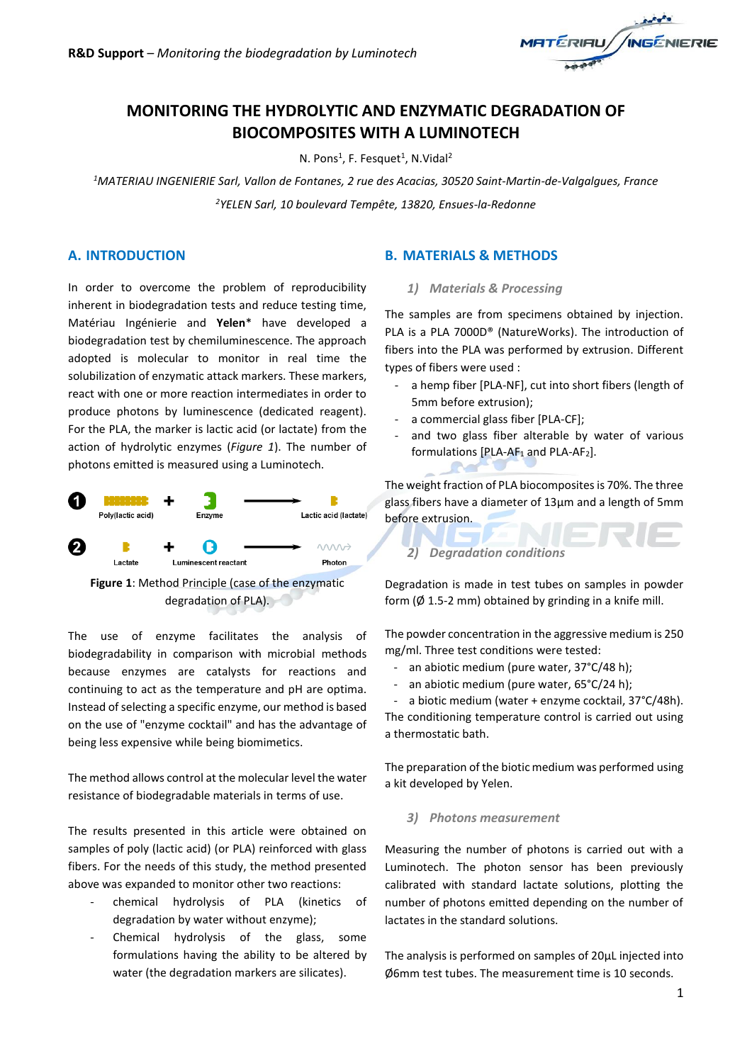

# **MONITORING THE HYDROLYTIC AND ENZYMATIC DEGRADATION OF BIOCOMPOSITES WITH A LUMINOTECH**

N. Pons<sup>1</sup>, F. Fesquet<sup>1</sup>, N.Vidal<sup>2</sup>

*<sup>1</sup>MATERIAU INGENIERIE Sarl, Vallon de Fontanes, 2 rue des Acacias, 30520 Saint-Martin-de-Valgalgues, France <sup>2</sup>YELEN Sarl, 10 boulevard Tempête, 13820, Ensues-la-Redonne*

### **A. INTRODUCTION**

In order to overcome the problem of reproducibility inherent in biodegradation tests and reduce testing time, Matériau Ingénierie and **Yelen**\* have developed a biodegradation test by chemiluminescence. The approach adopted is molecular to monitor in real time the solubilization of enzymatic attack markers. These markers, react with one or more reaction intermediates in order to produce photons by luminescence (dedicated reagent). For the PLA, the marker is lactic acid (or lactate) from the action of hydrolytic enzymes (*Figure 1*). The number of photons emitted is measured using a Luminotech.



The use of enzyme facilitates the analysis of biodegradability in comparison with microbial methods because enzymes are catalysts for reactions and continuing to act as the temperature and pH are optima. Instead of selecting a specific enzyme, our method is based on the use of "enzyme cocktail" and has the advantage of being less expensive while being biomimetics.

The method allows control at the molecular level the water resistance of biodegradable materials in terms of use.

The results presented in this article were obtained on samples of poly (lactic acid) (or PLA) reinforced with glass fibers. For the needs of this study, the method presented above was expanded to monitor other two reactions:

- chemical hydrolysis of PLA (kinetics of degradation by water without enzyme);
- Chemical hydrolysis of the glass, some formulations having the ability to be altered by water (the degradation markers are silicates).

### **B. MATERIALS & METHODS**

#### *1) Materials & Processing*

The samples are from specimens obtained by injection. PLA is a PLA 7000D® (NatureWorks). The introduction of fibers into the PLA was performed by extrusion. Different types of fibers were used :

- a hemp fiber [PLA-NF], cut into short fibers (length of 5mm before extrusion);
- a commercial glass fiber [PLA-CF];
- and two glass fiber alterable by water of various formulations [PLA-AF<sub>1</sub> and PLA-AF<sub>2</sub>].

The weight fraction of PLA biocomposites is 70%. The three glass fibers have a diameter of 13μm and a length of 5mm before extrusion.

#### *2) Degradation conditions*

Degradation is made in test tubes on samples in powder form ( $\emptyset$  1.5-2 mm) obtained by grinding in a knife mill.

The powder concentration in the aggressive medium is 250 mg/ml. Three test conditions were tested:

- an abiotic medium (pure water, 37°C/48 h);
- an abiotic medium (pure water, 65°C/24 h);
- a biotic medium (water + enzyme cocktail, 37°C/48h).

The conditioning temperature control is carried out using a thermostatic bath.

The preparation of the biotic medium was performed using a kit developed by Yelen.

#### *3) Photons measurement*

Measuring the number of photons is carried out with a Luminotech. The photon sensor has been previously calibrated with standard lactate solutions, plotting the number of photons emitted depending on the number of lactates in the standard solutions.

The analysis is performed on samples of 20μL injected into Ø6mm test tubes. The measurement time is 10 seconds.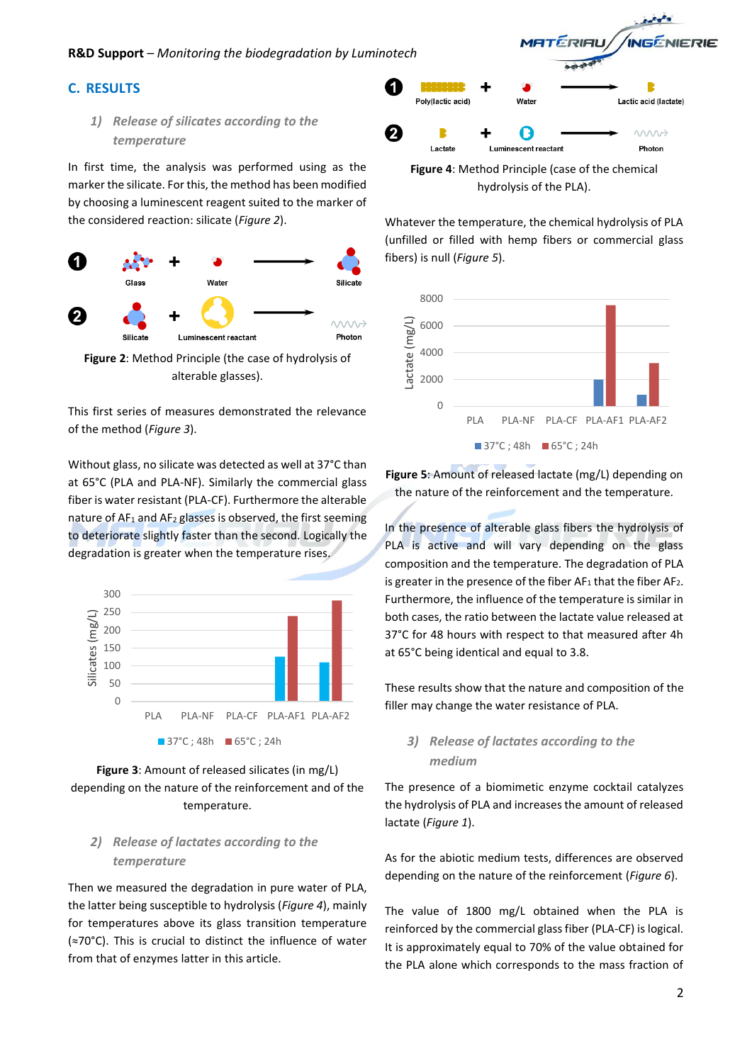#### **R&D Support** – *Monitoring the biodegradation by Luminotech*

### **C. RESULTS**

## *1) Release of silicates according to the temperature*

In first time, the analysis was performed using as the marker the silicate. For this, the method has been modified by choosing a luminescent reagent suited to the marker of the considered reaction: silicate (*Figure 2*).



**Figure 2**: Method Principle (the case of hydrolysis of alterable glasses).

This first series of measures demonstrated the relevance of the method (*Figure 3*).

Without glass, no silicate was detected as well at 37°C than at 65°C (PLA and PLA-NF). Similarly the commercial glass fiber is water resistant (PLA-CF). Furthermore the alterable nature of AF<sub>1</sub> and AF<sub>2</sub> glasses is observed, the first seeming to deteriorate slightly faster than the second. Logically the degradation is greater when the temperature rises.



### **Figure 3**: Amount of released silicates (in mg/L) depending on the nature of the reinforcement and of the temperature.

## *2) Release of lactates according to the temperature*

Then we measured the degradation in pure water of PLA, the latter being susceptible to hydrolysis (*Figure 4*), mainly for temperatures above its glass transition temperature (≈70°C). This is crucial to distinct the influence of water from that of enzymes latter in this article.



Whatever the temperature, the chemical hydrolysis of PLA (unfilled or filled with hemp fibers or commercial glass fibers) is null (*Figure 5*).



**Figure 5**: Amount of released lactate (mg/L) depending on the nature of the reinforcement and the temperature.

In the presence of alterable glass fibers the hydrolysis of PLA is active and will vary depending on the glass composition and the temperature. The degradation of PLA is greater in the presence of the fiber  $AF_1$  that the fiber  $AF_2$ . Furthermore, the influence of the temperature is similar in both cases, the ratio between the lactate value released at 37°C for 48 hours with respect to that measured after 4h at 65°C being identical and equal to 3.8.

These results show that the nature and composition of the filler may change the water resistance of PLA.

## *3) Release of lactates according to the medium*

The presence of a biomimetic enzyme cocktail catalyzes the hydrolysis of PLA and increases the amount of released lactate (*Figure 1*).

As for the abiotic medium tests, differences are observed depending on the nature of the reinforcement (*Figure 6*).

The value of 1800 mg/L obtained when the PLA is reinforced by the commercial glass fiber (PLA-CF) is logical. It is approximately equal to 70% of the value obtained for the PLA alone which corresponds to the mass fraction of